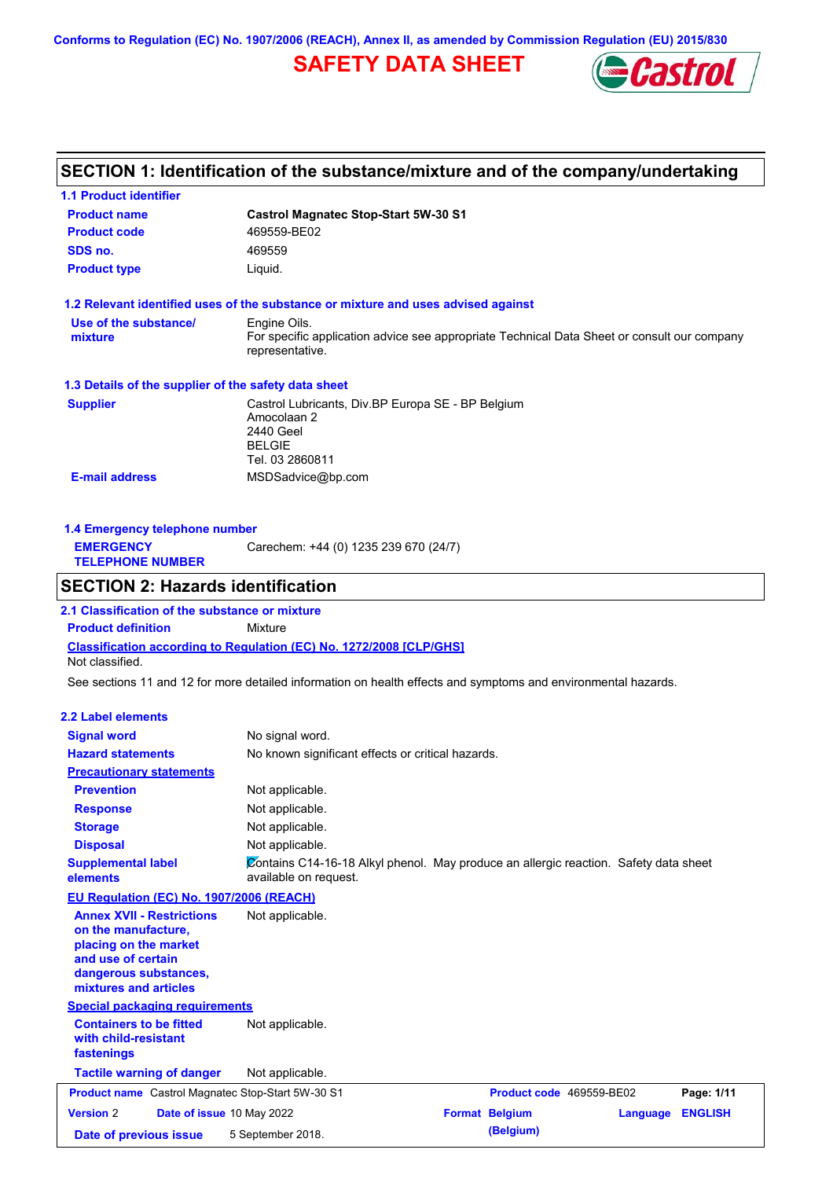**Conforms to Regulation (EC) No. 1907/2006 (REACH), Annex II, as amended by Commission Regulation (EU) 2015/830**

## **SAFETY DATA SHEET**



# **SECTION 1: Identification of the substance/mixture and of the company/undertaking**

**1.1 Product identifier**

| <b>Product name</b>                                                                                                                                      | <b>Castrol Magnatec Stop-Start 5W-30 S1</b>                                                                                    |                          |                            |
|----------------------------------------------------------------------------------------------------------------------------------------------------------|--------------------------------------------------------------------------------------------------------------------------------|--------------------------|----------------------------|
| <b>Product code</b>                                                                                                                                      | 469559-BE02                                                                                                                    |                          |                            |
| SDS no.                                                                                                                                                  | 469559                                                                                                                         |                          |                            |
| <b>Product type</b>                                                                                                                                      | Liquid.                                                                                                                        |                          |                            |
|                                                                                                                                                          | 1.2 Relevant identified uses of the substance or mixture and uses advised against                                              |                          |                            |
| Use of the substance/<br>mixture                                                                                                                         | Engine Oils.<br>For specific application advice see appropriate Technical Data Sheet or consult our company<br>representative. |                          |                            |
| 1.3 Details of the supplier of the safety data sheet                                                                                                     |                                                                                                                                |                          |                            |
| <b>Supplier</b>                                                                                                                                          | Castrol Lubricants, Div.BP Europa SE - BP Belgium<br>Amocolaan 2<br>2440 Geel<br><b>BELGIE</b><br>Tel. 03 2860811              |                          |                            |
| <b>E-mail address</b>                                                                                                                                    | MSDSadvice@bp.com                                                                                                              |                          |                            |
|                                                                                                                                                          |                                                                                                                                |                          |                            |
| 1.4 Emergency telephone number                                                                                                                           |                                                                                                                                |                          |                            |
| <b>EMERGENCY</b><br><b>TELEPHONE NUMBER</b>                                                                                                              | Carechem: +44 (0) 1235 239 670 (24/7)                                                                                          |                          |                            |
| <b>SECTION 2: Hazards identification</b>                                                                                                                 |                                                                                                                                |                          |                            |
| 2.1 Classification of the substance or mixture                                                                                                           |                                                                                                                                |                          |                            |
| <b>Product definition</b>                                                                                                                                | <b>Mixture</b>                                                                                                                 |                          |                            |
| Not classified.                                                                                                                                          | <b>Classification according to Regulation (EC) No. 1272/2008 [CLP/GHS]</b>                                                     |                          |                            |
|                                                                                                                                                          | See sections 11 and 12 for more detailed information on health effects and symptoms and environmental hazards.                 |                          |                            |
| 2.2 Label elements                                                                                                                                       |                                                                                                                                |                          |                            |
| <b>Signal word</b>                                                                                                                                       | No signal word.                                                                                                                |                          |                            |
| <b>Hazard statements</b>                                                                                                                                 | No known significant effects or critical hazards.                                                                              |                          |                            |
| <b>Precautionary statements</b>                                                                                                                          |                                                                                                                                |                          |                            |
| <b>Prevention</b>                                                                                                                                        | Not applicable.                                                                                                                |                          |                            |
| <b>Response</b>                                                                                                                                          | Not applicable.                                                                                                                |                          |                            |
| <b>Storage</b>                                                                                                                                           | Not applicable.                                                                                                                |                          |                            |
| <b>Disposal</b>                                                                                                                                          | Not applicable.                                                                                                                |                          |                            |
| <b>Supplemental label</b><br>elements                                                                                                                    | Contains C14-16-18 Alkyl phenol. May produce an allergic reaction. Safety data sheet<br>available on request.                  |                          |                            |
| EU Regulation (EC) No. 1907/2006 (REACH)                                                                                                                 |                                                                                                                                |                          |                            |
| <b>Annex XVII - Restrictions</b><br>on the manufacture,<br>placing on the market<br>and use of certain<br>dangerous substances,<br>mixtures and articles | Not applicable.                                                                                                                |                          |                            |
| <b>Special packaging requirements</b>                                                                                                                    |                                                                                                                                |                          |                            |
| <b>Containers to be fitted</b><br>with child-resistant<br>fastenings                                                                                     | Not applicable.                                                                                                                |                          |                            |
| <b>Tactile warning of danger</b>                                                                                                                         | Not applicable.                                                                                                                |                          |                            |
| Product name Castrol Magnatec Stop-Start 5W-30 S1                                                                                                        |                                                                                                                                | Product code 469559-BE02 | Page: 1/11                 |
| <b>Version 2</b><br>Date of issue 10 May 2022                                                                                                            |                                                                                                                                | <b>Format Belgium</b>    | <b>ENGLISH</b><br>Language |
| Date of previous issue                                                                                                                                   | 5 September 2018.                                                                                                              | (Belgium)                |                            |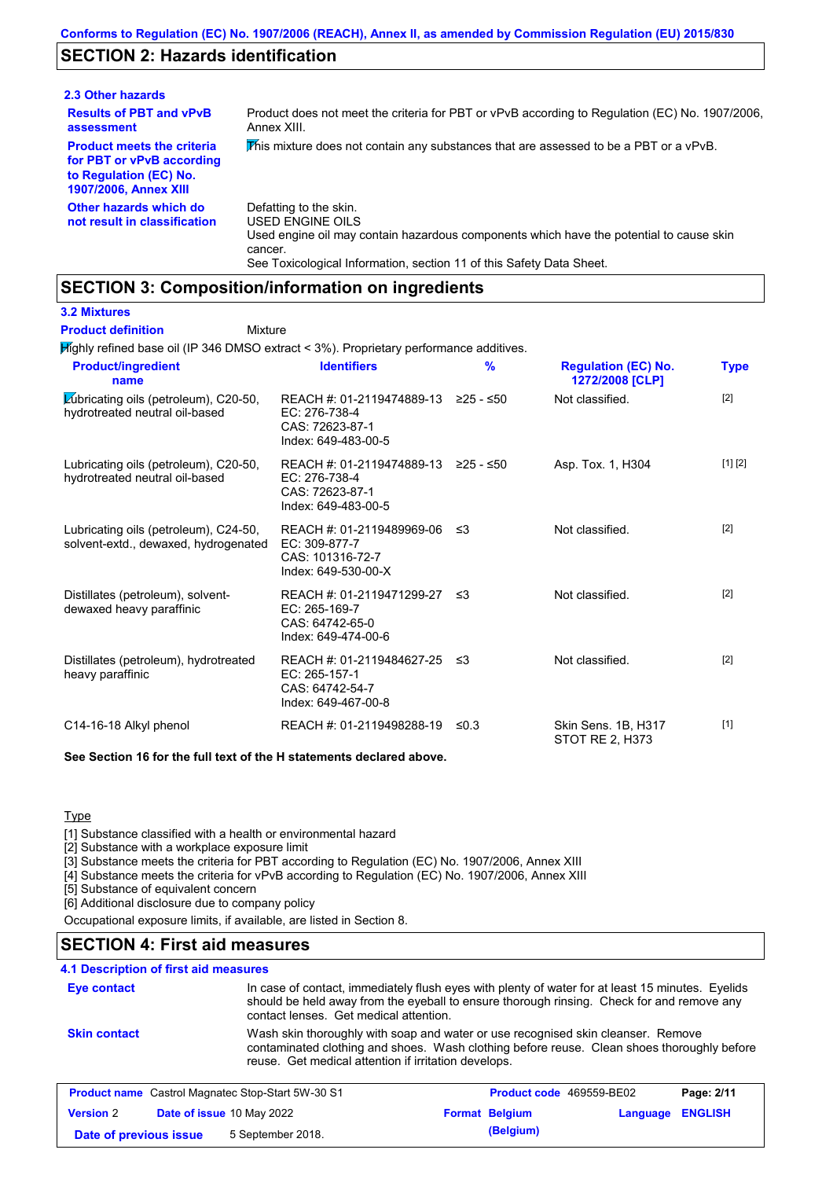## **SECTION 2: Hazards identification**

| 2.3 Other hazards                                                                                                        |                                                                                                                                                                                                                          |
|--------------------------------------------------------------------------------------------------------------------------|--------------------------------------------------------------------------------------------------------------------------------------------------------------------------------------------------------------------------|
| <b>Results of PBT and vPvB</b><br>assessment                                                                             | Product does not meet the criteria for PBT or vPvB according to Regulation (EC) No. 1907/2006,<br>Annex XIII.                                                                                                            |
| <b>Product meets the criteria</b><br>for PBT or vPvB according<br>to Regulation (EC) No.<br><b>1907/2006, Annex XIII</b> | This mixture does not contain any substances that are assessed to be a PBT or a vPvB.                                                                                                                                    |
| Other hazards which do<br>not result in classification                                                                   | Defatting to the skin.<br>USED ENGINE OILS<br>Used engine oil may contain hazardous components which have the potential to cause skin<br>cancer.<br>See Toxicological Information, section 11 of this Safety Data Sheet. |

### **SECTION 3: Composition/information on ingredients**

Mixture

**3.2 Mixtures**

**Product definition**

Highly refined base oil (IP 346 DMSO extract < 3%). Proprietary performance additives.

| <b>Product/ingredient</b><br>name                                              | <b>Identifiers</b>                                                                                         | $\frac{9}{6}$ | <b>Regulation (EC) No.</b><br>1272/2008 [CLP] | <b>Type</b> |
|--------------------------------------------------------------------------------|------------------------------------------------------------------------------------------------------------|---------------|-----------------------------------------------|-------------|
| <b>Zubricating oils (petroleum), C20-50,</b><br>hydrotreated neutral oil-based | REACH #: 01-2119474889-13 ≥25 - ≤50<br>EC: 276-738-4<br>CAS: 72623-87-1<br>Index: 649-483-00-5             |               | Not classified.                               | [2]         |
| Lubricating oils (petroleum), C20-50,<br>hydrotreated neutral oil-based        | REACH #: 01-2119474889-13 $\geq$ 25 - $\leq$ 50<br>EC: 276-738-4<br>CAS: 72623-87-1<br>Index: 649-483-00-5 |               | Asp. Tox. 1, H304                             | [1] [2]     |
| Lubricating oils (petroleum), C24-50,<br>solvent-extd., dewaxed, hydrogenated  | REACH #: 01-2119489969-06<br>$EC: 309-877-7$<br>CAS: 101316-72-7<br>Index: 649-530-00-X                    | -≤3           | Not classified.                               | $[2]$       |
| Distillates (petroleum), solvent-<br>dewaxed heavy paraffinic                  | REACH #: 01-2119471299-27 ≤3<br>EC: 265-169-7<br>CAS: 64742-65-0<br>Index: 649-474-00-6                    |               | Not classified.                               | [2]         |
| Distillates (petroleum), hydrotreated<br>heavy paraffinic                      | REACH #: 01-2119484627-25 ≤3<br>EC: 265-157-1<br>CAS: 64742-54-7<br>Index: 649-467-00-8                    |               | Not classified.                               | $[2]$       |
| C14-16-18 Alkyl phenol                                                         | REACH #: 01-2119498288-19                                                                                  | ≤0.3          | Skin Sens. 1B, H317<br>STOT RE 2, H373        | $[1]$       |

**See Section 16 for the full text of the H statements declared above.**

**Type** 

[1] Substance classified with a health or environmental hazard

[2] Substance with a workplace exposure limit

[3] Substance meets the criteria for PBT according to Regulation (EC) No. 1907/2006, Annex XIII

[4] Substance meets the criteria for vPvB according to Regulation (EC) No. 1907/2006, Annex XIII

[5] Substance of equivalent concern

[6] Additional disclosure due to company policy

Occupational exposure limits, if available, are listed in Section 8.

### **SECTION 4: First aid measures**

#### **4.1 Description of first aid measures**

| <b>Eye contact</b>                                                                                                                                                                                                                                            | contact lenses. Get medical attention.                   | In case of contact, immediately flush eyes with plenty of water for at least 15 minutes. Eyelids<br>should be held away from the eyeball to ensure thorough rinsing. Check for and remove any |            |
|---------------------------------------------------------------------------------------------------------------------------------------------------------------------------------------------------------------------------------------------------------------|----------------------------------------------------------|-----------------------------------------------------------------------------------------------------------------------------------------------------------------------------------------------|------------|
| Wash skin thoroughly with soap and water or use recognised skin cleanser. Remove<br><b>Skin contact</b><br>contaminated clothing and shoes. Wash clothing before reuse. Clean shoes thoroughly before<br>reuse. Get medical attention if irritation develops. |                                                          |                                                                                                                                                                                               |            |
|                                                                                                                                                                                                                                                               | <b>Product name</b> Castrol Magnatec Stop-Start 5W-30 S1 | <b>Product code</b> 469559-BE02                                                                                                                                                               | Page: 2/11 |

| <b>Version 2</b>       | <b>Date of issue 10 May 2022</b> | <b>Format Belgium</b> | <b>Language ENGLISH</b> |  |
|------------------------|----------------------------------|-----------------------|-------------------------|--|
| Date of previous issue | 5 September 2018.                | (Belgium)             |                         |  |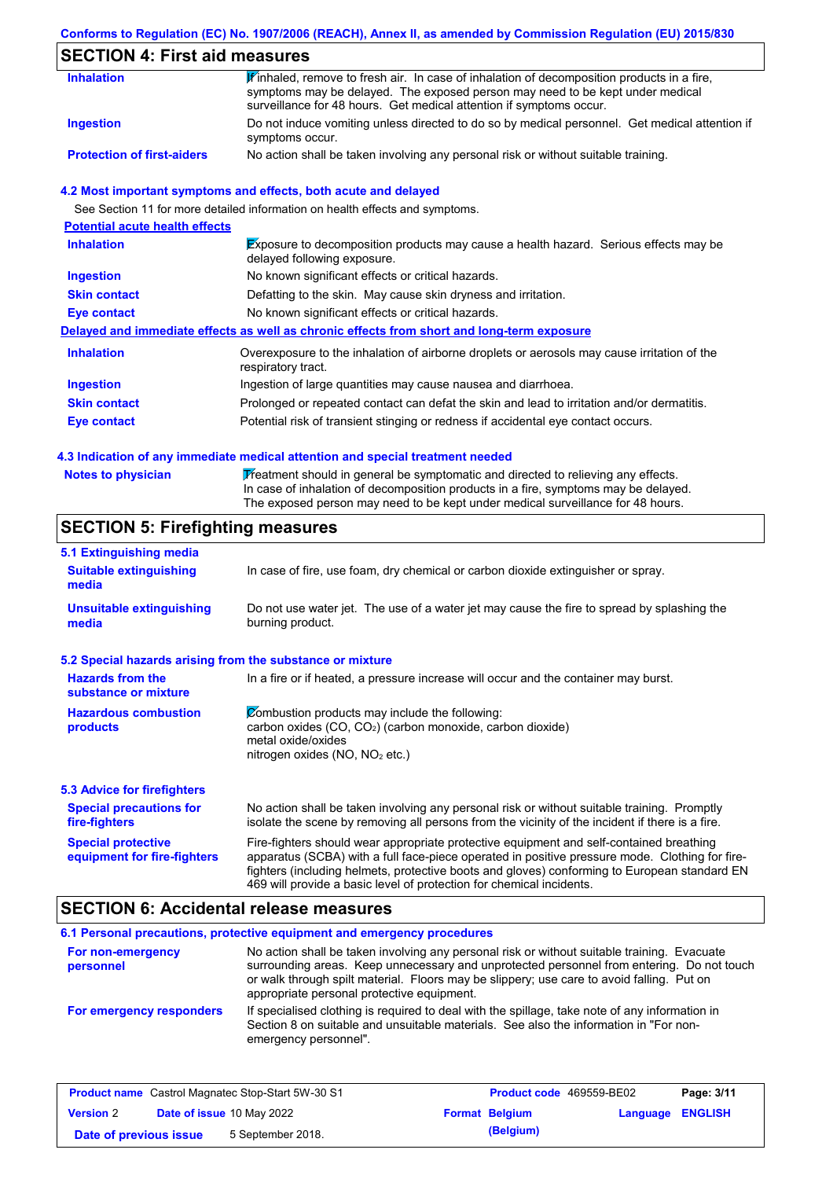### **Conforms to Regulation (EC) No. 1907/2006 (REACH), Annex II, as amended by Commission Regulation (EU) 2015/830**

## **SECTION 4: First aid measures**

| <b>Inhalation</b>                 | $\mathbf{F}$ inhaled, remove to fresh air. In case of inhalation of decomposition products in a fire,             |
|-----------------------------------|-------------------------------------------------------------------------------------------------------------------|
|                                   | symptoms may be delayed. The exposed person may need to be kept under medical                                     |
|                                   | surveillance for 48 hours. Get medical attention if symptoms occur.                                               |
| <b>Ingestion</b>                  | Do not induce vomiting unless directed to do so by medical personnel. Get medical attention if<br>symptoms occur. |
| <b>Protection of first-aiders</b> | No action shall be taken involving any personal risk or without suitable training.                                |

#### **4.2 Most important symptoms and effects, both acute and delayed**

See Section 11 for more detailed information on health effects and symptoms.

| <b>Potential acute health effects</b> |                                                                                                                     |
|---------------------------------------|---------------------------------------------------------------------------------------------------------------------|
| <b>Inhalation</b>                     | Exposure to decomposition products may cause a health hazard. Serious effects may be<br>delayed following exposure. |
| <b>Ingestion</b>                      | No known significant effects or critical hazards.                                                                   |
| <b>Skin contact</b>                   | Defatting to the skin. May cause skin dryness and irritation.                                                       |
| Eye contact                           | No known significant effects or critical hazards.                                                                   |
|                                       | Delayed and immediate effects as well as chronic effects from short and long-term exposure                          |
| <b>Inhalation</b>                     | Overexposure to the inhalation of airborne droplets or aerosols may cause irritation of the<br>respiratory tract.   |
| <b>Ingestion</b>                      | Ingestion of large quantities may cause nausea and diarrhoea.                                                       |
| <b>Skin contact</b>                   | Prolonged or repeated contact can defat the skin and lead to irritation and/or dermatitis.                          |
| Eye contact                           | Potential risk of transient stinging or redness if accidental eye contact occurs.                                   |

#### **4.3 Indication of any immediate medical attention and special treatment needed**

| <b>Notes to physician</b> | Treatment should in general be symptomatic and directed to relieving any effects.   |
|---------------------------|-------------------------------------------------------------------------------------|
|                           | In case of inhalation of decomposition products in a fire, symptoms may be delayed. |
|                           | The exposed person may need to be kept under medical surveillance for 48 hours.     |

## **SECTION 5: Firefighting measures**

| 5.1 Extinguishing media                                   |                                                                                                                                                                                                                                                                                                                                                                   |
|-----------------------------------------------------------|-------------------------------------------------------------------------------------------------------------------------------------------------------------------------------------------------------------------------------------------------------------------------------------------------------------------------------------------------------------------|
| <b>Suitable extinguishing</b><br>media                    | In case of fire, use foam, dry chemical or carbon dioxide extinguisher or spray.                                                                                                                                                                                                                                                                                  |
| <b>Unsuitable extinguishing</b><br>media                  | Do not use water jet. The use of a water jet may cause the fire to spread by splashing the<br>burning product.                                                                                                                                                                                                                                                    |
| 5.2 Special hazards arising from the substance or mixture |                                                                                                                                                                                                                                                                                                                                                                   |
| <b>Hazards from the</b><br>substance or mixture           | In a fire or if heated, a pressure increase will occur and the container may burst.                                                                                                                                                                                                                                                                               |
| <b>Hazardous combustion</b>                               | Combustion products may include the following:                                                                                                                                                                                                                                                                                                                    |
| products                                                  | carbon oxides (CO, CO <sub>2</sub> ) (carbon monoxide, carbon dioxide)<br>metal oxide/oxides                                                                                                                                                                                                                                                                      |
|                                                           | nitrogen oxides ( $NO$ , $NO2$ etc.)                                                                                                                                                                                                                                                                                                                              |
| 5.3 Advice for firefighters                               |                                                                                                                                                                                                                                                                                                                                                                   |
| <b>Special precautions for</b><br>fire-fighters           | No action shall be taken involving any personal risk or without suitable training. Promptly<br>isolate the scene by removing all persons from the vicinity of the incident if there is a fire.                                                                                                                                                                    |
| <b>Special protective</b><br>equipment for fire-fighters  | Fire-fighters should wear appropriate protective equipment and self-contained breathing<br>apparatus (SCBA) with a full face-piece operated in positive pressure mode. Clothing for fire-<br>fighters (including helmets, protective boots and gloves) conforming to European standard EN<br>469 will provide a basic level of protection for chemical incidents. |

### **SECTION 6: Accidental release measures**

|                                | 6.1 Personal precautions, protective equipment and emergency procedures                                                                                                                                                                                                                                                             |
|--------------------------------|-------------------------------------------------------------------------------------------------------------------------------------------------------------------------------------------------------------------------------------------------------------------------------------------------------------------------------------|
| For non-emergency<br>personnel | No action shall be taken involving any personal risk or without suitable training. Evacuate<br>surrounding areas. Keep unnecessary and unprotected personnel from entering. Do not touch<br>or walk through spilt material. Floors may be slippery; use care to avoid falling. Put on<br>appropriate personal protective equipment. |
| For emergency responders       | If specialised clothing is required to deal with the spillage, take note of any information in<br>Section 8 on suitable and unsuitable materials. See also the information in "For non-<br>emergency personnel".                                                                                                                    |

| <b>Product name</b> Castrol Magnatec Stop-Start 5W-30 S1 |  | <b>Product code</b> 469559-BE02  |  | Page: 3/11            |                         |  |
|----------------------------------------------------------|--|----------------------------------|--|-----------------------|-------------------------|--|
| <b>Version 2</b>                                         |  | <b>Date of issue 10 May 2022</b> |  | <b>Format Belgium</b> | <b>Language ENGLISH</b> |  |
| Date of previous issue                                   |  | 5 September 2018.                |  | (Belgium)             |                         |  |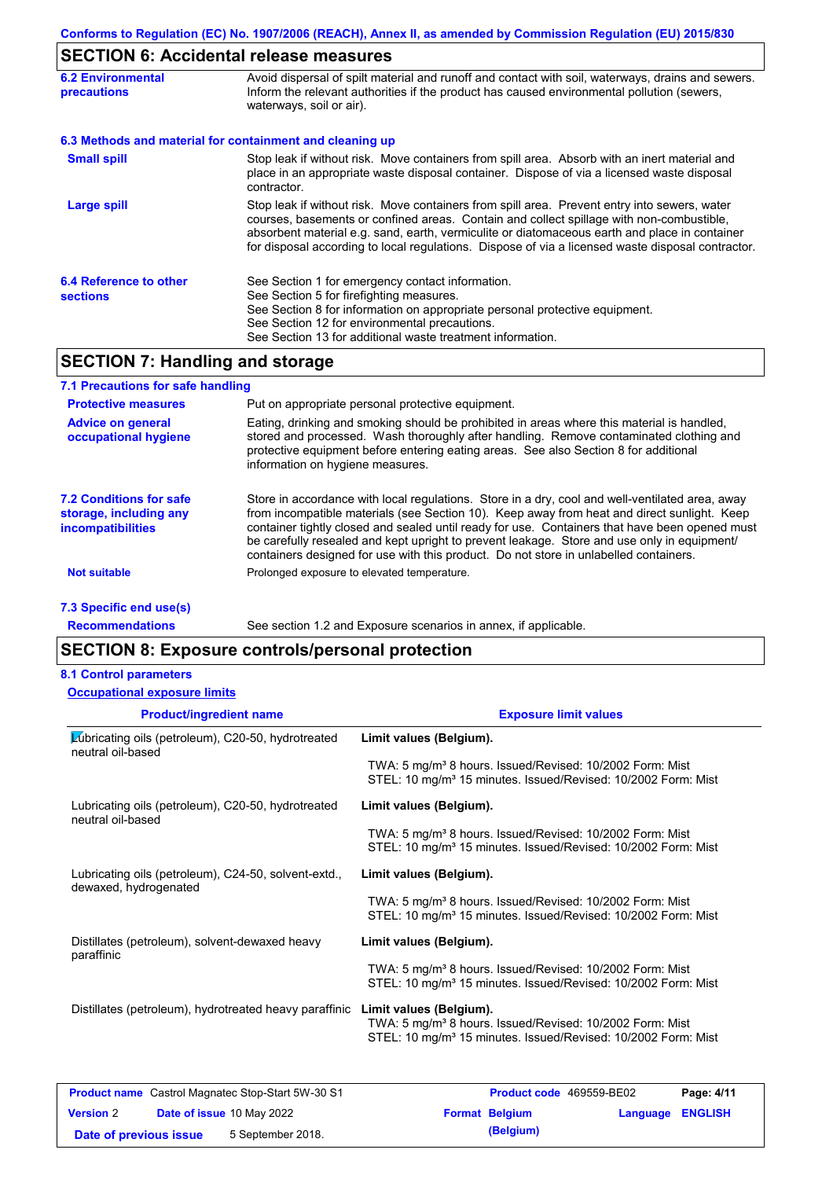# **SECTION 6: Accidental release measures**

| <b>6.2 Environmental</b><br>precautions   | Avoid dispersal of spilt material and runoff and contact with soil, waterways, drains and sewers.<br>Inform the relevant authorities if the product has caused environmental pollution (sewers,<br>waterways, soil or air).                                                                                                                                                                    |
|-------------------------------------------|------------------------------------------------------------------------------------------------------------------------------------------------------------------------------------------------------------------------------------------------------------------------------------------------------------------------------------------------------------------------------------------------|
|                                           | 6.3 Methods and material for containment and cleaning up                                                                                                                                                                                                                                                                                                                                       |
| <b>Small spill</b>                        | Stop leak if without risk. Move containers from spill area. Absorb with an inert material and<br>place in an appropriate waste disposal container. Dispose of via a licensed waste disposal<br>contractor.                                                                                                                                                                                     |
| Large spill                               | Stop leak if without risk. Move containers from spill area. Prevent entry into sewers, water<br>courses, basements or confined areas. Contain and collect spillage with non-combustible,<br>absorbent material e.g. sand, earth, vermiculite or diatomaceous earth and place in container<br>for disposal according to local regulations. Dispose of via a licensed waste disposal contractor. |
| 6.4 Reference to other<br><b>sections</b> | See Section 1 for emergency contact information.<br>See Section 5 for firefighting measures.<br>See Section 8 for information on appropriate personal protective equipment.<br>See Section 12 for environmental precautions.<br>See Section 13 for additional waste treatment information.                                                                                                     |

## **SECTION 7: Handling and storage**

| 7.1 Precautions for safe handling                                                    |                                                                                                                                                                                                                                                                                                                                                                                                                                                                                          |
|--------------------------------------------------------------------------------------|------------------------------------------------------------------------------------------------------------------------------------------------------------------------------------------------------------------------------------------------------------------------------------------------------------------------------------------------------------------------------------------------------------------------------------------------------------------------------------------|
| <b>Protective measures</b>                                                           | Put on appropriate personal protective equipment.                                                                                                                                                                                                                                                                                                                                                                                                                                        |
| <b>Advice on general</b><br>occupational hygiene                                     | Eating, drinking and smoking should be prohibited in areas where this material is handled,<br>stored and processed. Wash thoroughly after handling. Remove contaminated clothing and<br>protective equipment before entering eating areas. See also Section 8 for additional<br>information on hygiene measures.                                                                                                                                                                         |
| <b>7.2 Conditions for safe</b><br>storage, including any<br><i>incompatibilities</i> | Store in accordance with local requlations. Store in a dry, cool and well-ventilated area, away<br>from incompatible materials (see Section 10). Keep away from heat and direct sunlight. Keep<br>container tightly closed and sealed until ready for use. Containers that have been opened must<br>be carefully resealed and kept upright to prevent leakage. Store and use only in equipment/<br>containers designed for use with this product. Do not store in unlabelled containers. |
| Not suitable                                                                         | Prolonged exposure to elevated temperature.                                                                                                                                                                                                                                                                                                                                                                                                                                              |
| 7.3 Specific end use(s)                                                              |                                                                                                                                                                                                                                                                                                                                                                                                                                                                                          |

**Recommendations**

See section 1.2 and Exposure scenarios in annex, if applicable.

### **SECTION 8: Exposure controls/personal protection**

#### **8.1 Control parameters**

**Occupational exposure limits**

| <b>Exposure limit values</b>                                                                                                                                                                                                           |
|----------------------------------------------------------------------------------------------------------------------------------------------------------------------------------------------------------------------------------------|
| Limit values (Belgium).                                                                                                                                                                                                                |
| TWA: 5 mg/m <sup>3</sup> 8 hours. Issued/Revised: 10/2002 Form: Mist<br>STEL: 10 mg/m <sup>3</sup> 15 minutes. Issued/Revised: 10/2002 Form: Mist                                                                                      |
| Limit values (Belgium).                                                                                                                                                                                                                |
| TWA: 5 mg/m <sup>3</sup> 8 hours. Issued/Revised: 10/2002 Form: Mist<br>STEL: 10 mg/m <sup>3</sup> 15 minutes. Issued/Revised: 10/2002 Form: Mist                                                                                      |
| Limit values (Belgium).                                                                                                                                                                                                                |
| TWA: 5 mg/m <sup>3</sup> 8 hours. Issued/Revised: 10/2002 Form: Mist<br>STEL: 10 mg/m <sup>3</sup> 15 minutes. Issued/Revised: 10/2002 Form: Mist                                                                                      |
| Limit values (Belgium).                                                                                                                                                                                                                |
| TWA: 5 mg/m <sup>3</sup> 8 hours. Issued/Revised: 10/2002 Form: Mist<br>STEL: 10 mg/m <sup>3</sup> 15 minutes. Issued/Revised: 10/2002 Form: Mist                                                                                      |
| Distillates (petroleum), hydrotreated heavy paraffinic<br>Limit values (Belgium).<br>TWA: 5 mg/m <sup>3</sup> 8 hours. Issued/Revised: 10/2002 Form: Mist<br>STEL: 10 mg/m <sup>3</sup> 15 minutes. Issued/Revised: 10/2002 Form: Mist |
|                                                                                                                                                                                                                                        |

|                        | <b>Product name</b> Castrol Magnatec Stop-Start 5W-30 S1 | <b>Product code</b> 469559-BE02 |                  | Page: 4/11 |
|------------------------|----------------------------------------------------------|---------------------------------|------------------|------------|
| <b>Version 2</b>       | Date of issue 10 May 2022                                | <b>Format Belgium</b>           | Language ENGLISH |            |
| Date of previous issue | 5 September 2018.                                        | (Belgium)                       |                  |            |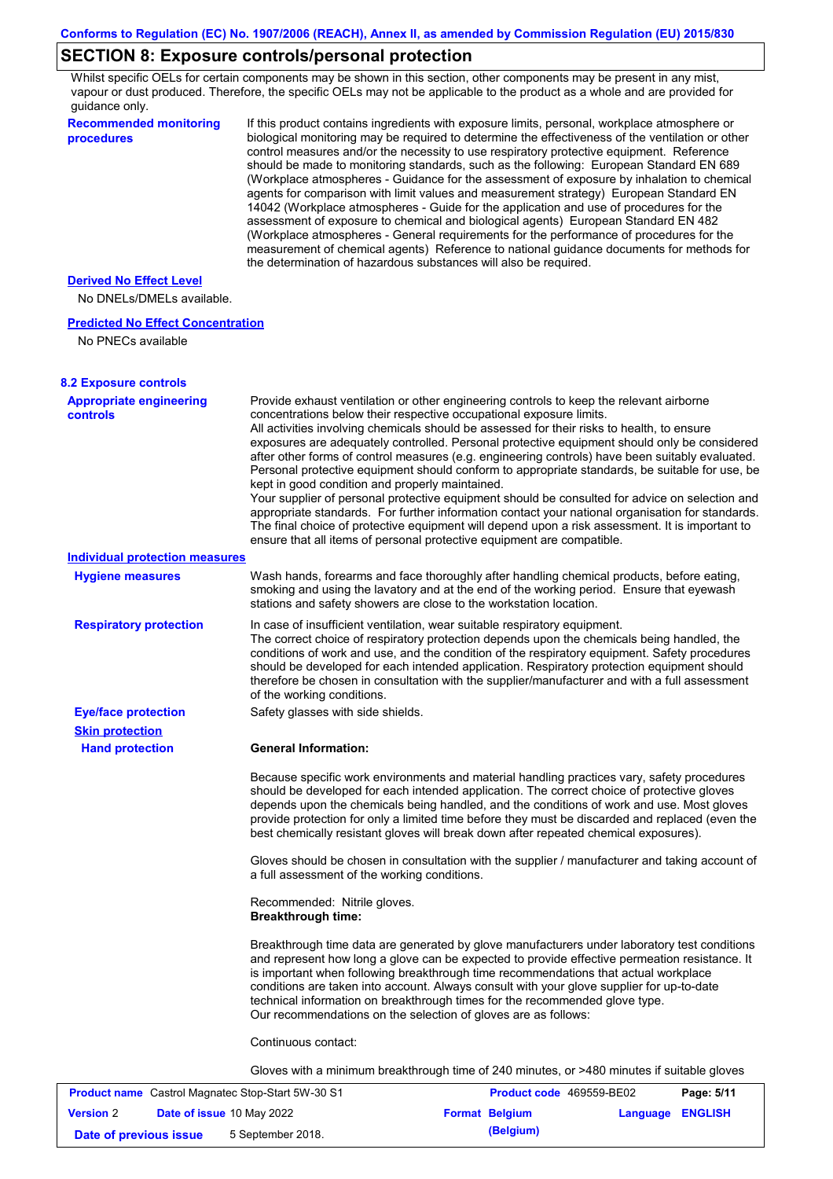# **SECTION 8: Exposure controls/personal protection**

Whilst specific OELs for certain components may be shown in this section, other components may be present in any mist, vapour or dust produced. Therefore, the specific OELs may not be applicable to the product as a whole and are provided for guidance only.

| <b>Recommended monitoring</b><br>procedures                    | If this product contains ingredients with exposure limits, personal, workplace atmosphere or<br>biological monitoring may be required to determine the effectiveness of the ventilation or other<br>control measures and/or the necessity to use respiratory protective equipment. Reference<br>should be made to monitoring standards, such as the following: European Standard EN 689<br>(Workplace atmospheres - Guidance for the assessment of exposure by inhalation to chemical<br>agents for comparison with limit values and measurement strategy) European Standard EN<br>14042 (Workplace atmospheres - Guide for the application and use of procedures for the<br>assessment of exposure to chemical and biological agents) European Standard EN 482<br>(Workplace atmospheres - General requirements for the performance of procedures for the<br>measurement of chemical agents) Reference to national guidance documents for methods for<br>the determination of hazardous substances will also be required. |
|----------------------------------------------------------------|----------------------------------------------------------------------------------------------------------------------------------------------------------------------------------------------------------------------------------------------------------------------------------------------------------------------------------------------------------------------------------------------------------------------------------------------------------------------------------------------------------------------------------------------------------------------------------------------------------------------------------------------------------------------------------------------------------------------------------------------------------------------------------------------------------------------------------------------------------------------------------------------------------------------------------------------------------------------------------------------------------------------------|
| <b>Derived No Effect Level</b><br>No DNELs/DMELs available.    |                                                                                                                                                                                                                                                                                                                                                                                                                                                                                                                                                                                                                                                                                                                                                                                                                                                                                                                                                                                                                            |
| <b>Predicted No Effect Concentration</b><br>No PNECs available |                                                                                                                                                                                                                                                                                                                                                                                                                                                                                                                                                                                                                                                                                                                                                                                                                                                                                                                                                                                                                            |
| <b>8.2 Exposure controls</b>                                   |                                                                                                                                                                                                                                                                                                                                                                                                                                                                                                                                                                                                                                                                                                                                                                                                                                                                                                                                                                                                                            |
| <b>Appropriate engineering</b><br><b>controls</b>              | Provide exhaust ventilation or other engineering controls to keep the relevant airborne<br>concentrations below their respective occupational exposure limits.<br>All activities involving chemicals should be assessed for their risks to health, to ensure<br>exposures are adequately controlled. Personal protective equipment should only be considered<br>after other forms of control measures (e.g. engineering controls) have been suitably evaluated.<br>Personal protective equipment should conform to appropriate standards, be suitable for use, be<br>kept in good condition and properly maintained.<br>Your supplier of personal protective equipment should be consulted for advice on selection and<br>appropriate standards. For further information contact your national organisation for standards.<br>The final choice of protective equipment will depend upon a risk assessment. It is important to<br>ensure that all items of personal protective equipment are compatible.                    |
| <b>Individual protection measures</b>                          |                                                                                                                                                                                                                                                                                                                                                                                                                                                                                                                                                                                                                                                                                                                                                                                                                                                                                                                                                                                                                            |
| <b>Hygiene measures</b>                                        | Wash hands, forearms and face thoroughly after handling chemical products, before eating,<br>smoking and using the lavatory and at the end of the working period. Ensure that eyewash<br>stations and safety showers are close to the workstation location.                                                                                                                                                                                                                                                                                                                                                                                                                                                                                                                                                                                                                                                                                                                                                                |
| <b>Respiratory protection</b>                                  | In case of insufficient ventilation, wear suitable respiratory equipment.<br>The correct choice of respiratory protection depends upon the chemicals being handled, the<br>conditions of work and use, and the condition of the respiratory equipment. Safety procedures<br>should be developed for each intended application. Respiratory protection equipment should<br>therefore be chosen in consultation with the supplier/manufacturer and with a full assessment<br>of the working conditions.                                                                                                                                                                                                                                                                                                                                                                                                                                                                                                                      |
| <b>Eye/face protection</b>                                     | Safety glasses with side shields.                                                                                                                                                                                                                                                                                                                                                                                                                                                                                                                                                                                                                                                                                                                                                                                                                                                                                                                                                                                          |
| <b>Skin protection</b>                                         |                                                                                                                                                                                                                                                                                                                                                                                                                                                                                                                                                                                                                                                                                                                                                                                                                                                                                                                                                                                                                            |
| <b>Hand protection</b>                                         | <b>General Information:</b>                                                                                                                                                                                                                                                                                                                                                                                                                                                                                                                                                                                                                                                                                                                                                                                                                                                                                                                                                                                                |
|                                                                | Because specific work environments and material handling practices vary, safety procedures<br>should be developed for each intended application. The correct choice of protective gloves<br>depends upon the chemicals being handled, and the conditions of work and use. Most gloves<br>provide protection for only a limited time before they must be discarded and replaced (even the<br>best chemically resistant gloves will break down after repeated chemical exposures).                                                                                                                                                                                                                                                                                                                                                                                                                                                                                                                                           |
|                                                                | Gloves should be chosen in consultation with the supplier / manufacturer and taking account of<br>a full assessment of the working conditions.                                                                                                                                                                                                                                                                                                                                                                                                                                                                                                                                                                                                                                                                                                                                                                                                                                                                             |
|                                                                | Recommended: Nitrile gloves.<br><b>Breakthrough time:</b>                                                                                                                                                                                                                                                                                                                                                                                                                                                                                                                                                                                                                                                                                                                                                                                                                                                                                                                                                                  |
|                                                                | Breakthrough time data are generated by glove manufacturers under laboratory test conditions<br>and represent how long a glove can be expected to provide effective permeation resistance. It<br>is important when following breakthrough time recommendations that actual workplace<br>conditions are taken into account. Always consult with your glove supplier for up-to-date<br>technical information on breakthrough times for the recommended glove type.<br>Our recommendations on the selection of gloves are as follows:                                                                                                                                                                                                                                                                                                                                                                                                                                                                                         |
|                                                                | Continuous contact:                                                                                                                                                                                                                                                                                                                                                                                                                                                                                                                                                                                                                                                                                                                                                                                                                                                                                                                                                                                                        |
|                                                                | Gloves with a minimum breakthrough time of 240 minutes, or >480 minutes if suitable gloves                                                                                                                                                                                                                                                                                                                                                                                                                                                                                                                                                                                                                                                                                                                                                                                                                                                                                                                                 |
|                                                                |                                                                                                                                                                                                                                                                                                                                                                                                                                                                                                                                                                                                                                                                                                                                                                                                                                                                                                                                                                                                                            |

| <b>Product name</b> Castrol Magnatec Stop-Start 5W-30 S1 |  | <b>Product code</b> 469559-BE02  |  | Page: 5/11            |                         |  |
|----------------------------------------------------------|--|----------------------------------|--|-----------------------|-------------------------|--|
| <b>Version 2</b>                                         |  | <b>Date of issue 10 May 2022</b> |  | <b>Format Belgium</b> | <b>Language ENGLISH</b> |  |
| Date of previous issue                                   |  | 5 September 2018.                |  | (Belgium)             |                         |  |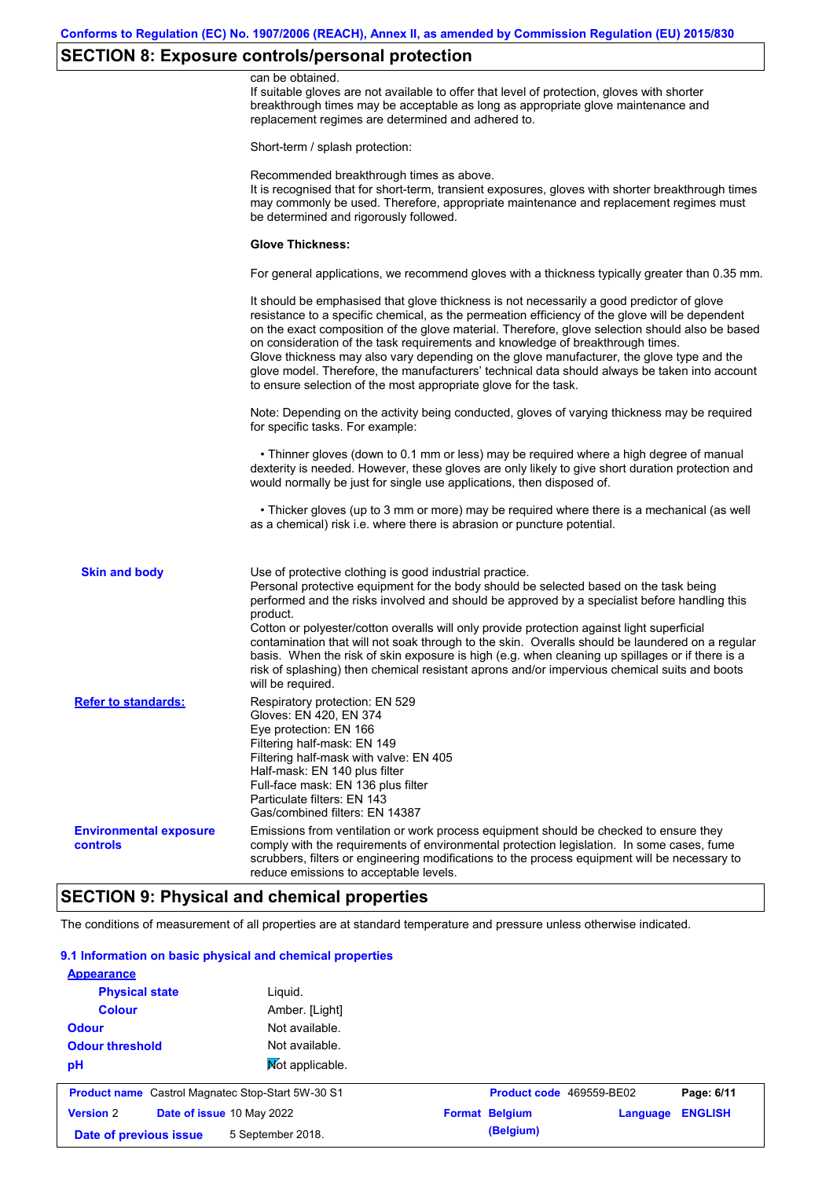## **SECTION 8: Exposure controls/personal protection**

|                                           | can be obtained.<br>If suitable gloves are not available to offer that level of protection, gloves with shorter<br>breakthrough times may be acceptable as long as appropriate glove maintenance and<br>replacement regimes are determined and adhered to.                                                                                                                                                                                                                                                                                                                                                                                        |
|-------------------------------------------|---------------------------------------------------------------------------------------------------------------------------------------------------------------------------------------------------------------------------------------------------------------------------------------------------------------------------------------------------------------------------------------------------------------------------------------------------------------------------------------------------------------------------------------------------------------------------------------------------------------------------------------------------|
|                                           | Short-term / splash protection:                                                                                                                                                                                                                                                                                                                                                                                                                                                                                                                                                                                                                   |
|                                           | Recommended breakthrough times as above.<br>It is recognised that for short-term, transient exposures, gloves with shorter breakthrough times<br>may commonly be used. Therefore, appropriate maintenance and replacement regimes must<br>be determined and rigorously followed.                                                                                                                                                                                                                                                                                                                                                                  |
|                                           | <b>Glove Thickness:</b>                                                                                                                                                                                                                                                                                                                                                                                                                                                                                                                                                                                                                           |
|                                           | For general applications, we recommend gloves with a thickness typically greater than 0.35 mm.                                                                                                                                                                                                                                                                                                                                                                                                                                                                                                                                                    |
|                                           | It should be emphasised that glove thickness is not necessarily a good predictor of glove<br>resistance to a specific chemical, as the permeation efficiency of the glove will be dependent<br>on the exact composition of the glove material. Therefore, glove selection should also be based<br>on consideration of the task requirements and knowledge of breakthrough times.<br>Glove thickness may also vary depending on the glove manufacturer, the glove type and the<br>glove model. Therefore, the manufacturers' technical data should always be taken into account<br>to ensure selection of the most appropriate glove for the task. |
|                                           | Note: Depending on the activity being conducted, gloves of varying thickness may be required<br>for specific tasks. For example:                                                                                                                                                                                                                                                                                                                                                                                                                                                                                                                  |
|                                           | • Thinner gloves (down to 0.1 mm or less) may be required where a high degree of manual<br>dexterity is needed. However, these gloves are only likely to give short duration protection and<br>would normally be just for single use applications, then disposed of.                                                                                                                                                                                                                                                                                                                                                                              |
|                                           | • Thicker gloves (up to 3 mm or more) may be required where there is a mechanical (as well<br>as a chemical) risk i.e. where there is abrasion or puncture potential.                                                                                                                                                                                                                                                                                                                                                                                                                                                                             |
| <b>Skin and body</b>                      | Use of protective clothing is good industrial practice.<br>Personal protective equipment for the body should be selected based on the task being<br>performed and the risks involved and should be approved by a specialist before handling this<br>product.<br>Cotton or polyester/cotton overalls will only provide protection against light superficial<br>contamination that will not soak through to the skin. Overalls should be laundered on a regular<br>basis. When the risk of skin exposure is high (e.g. when cleaning up spillages or if there is a                                                                                  |
|                                           | risk of splashing) then chemical resistant aprons and/or impervious chemical suits and boots<br>will be required.                                                                                                                                                                                                                                                                                                                                                                                                                                                                                                                                 |
| <b>Refer to standards:</b>                | Respiratory protection: EN 529<br>Gloves: EN 420, EN 374<br>Eye protection: EN 166<br>Filtering half-mask: EN 149<br>Filtering half-mask with valve: EN 405<br>Half-mask: EN 140 plus filter<br>Full-face mask: EN 136 plus filter<br>Particulate filters: EN 143<br>Gas/combined filters: EN 14387                                                                                                                                                                                                                                                                                                                                               |
| <b>Environmental exposure</b><br>controls | Emissions from ventilation or work process equipment should be checked to ensure they<br>comply with the requirements of environmental protection legislation. In some cases, fume<br>scrubbers, filters or engineering modifications to the process equipment will be necessary to<br>reduce emissions to acceptable levels.                                                                                                                                                                                                                                                                                                                     |

## **SECTION 9: Physical and chemical properties**

The conditions of measurement of all properties are at standard temperature and pressure unless otherwise indicated.

#### **9.1 Information on basic physical and chemical properties**

| <b>Version 2</b><br>Date of previous issue               | Date of issue 10 May 2022<br>5 September 2018. | <b>Format Belgium</b><br>(Belgium) | Language | <b>ENGLISH</b> |
|----------------------------------------------------------|------------------------------------------------|------------------------------------|----------|----------------|
| <b>Product name</b> Castrol Magnatec Stop-Start 5W-30 S1 |                                                | Product code 469559-BE02           |          | Page: 6/11     |
| pH                                                       | <b>Not applicable.</b>                         |                                    |          |                |
| <b>Odour threshold</b>                                   | Not available.                                 |                                    |          |                |
| <b>Odour</b>                                             | Not available.                                 |                                    |          |                |
| <b>Colour</b>                                            | Amber. [Light]                                 |                                    |          |                |
| <b>Physical state</b>                                    | Liguid.                                        |                                    |          |                |
| <b>Appearance</b>                                        |                                                |                                    |          |                |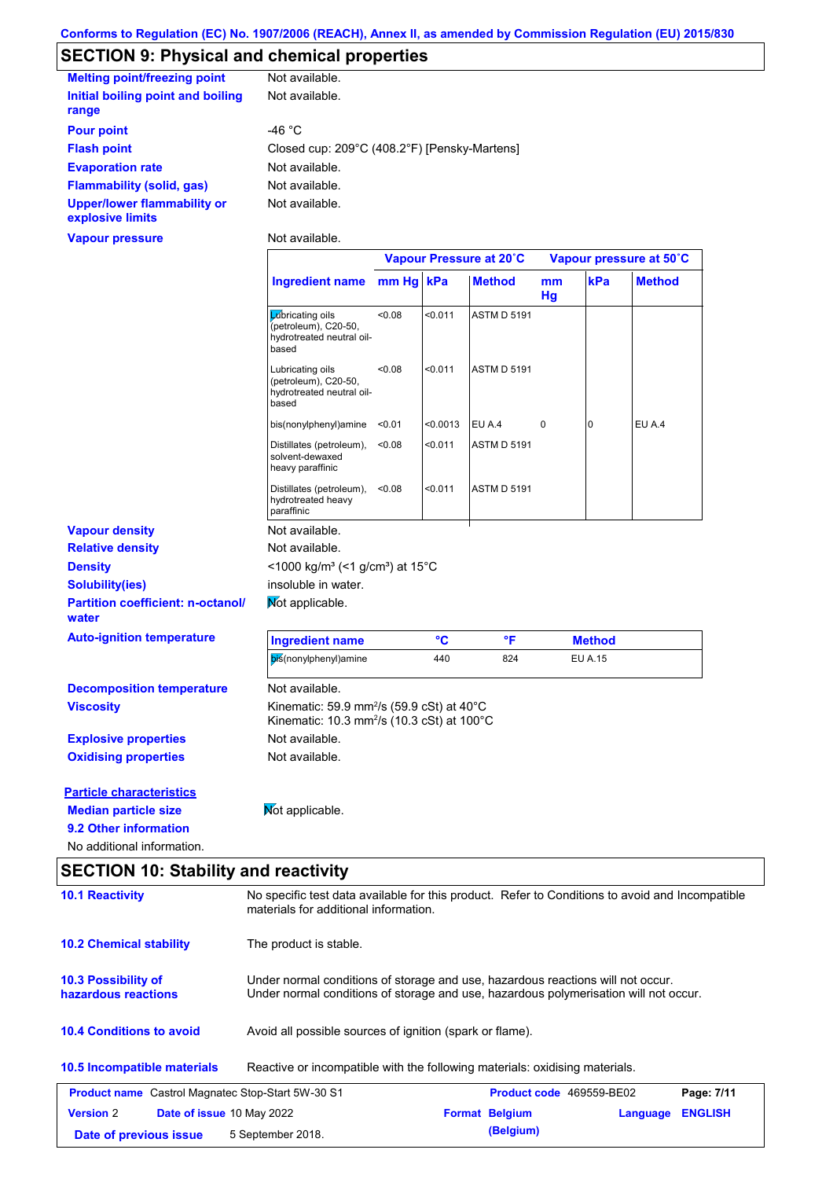# **SECTION 9: Physical and chemical properties**

| <b>Melting point/freezing point</b>                    | Not available.                               |
|--------------------------------------------------------|----------------------------------------------|
| Initial boiling point and boiling<br>range             | Not available.                               |
| <b>Pour point</b>                                      | -46 °C                                       |
| <b>Flash point</b>                                     | Closed cup: 209°C (408.2°F) [Pensky-Martens] |
| <b>Evaporation rate</b>                                | Not available.                               |
| <b>Flammability (solid, gas)</b>                       | Not available.                               |
| <b>Upper/lower flammability or</b><br>explosive limits | Not available.                               |
| <b>Vapour pressure</b>                                 | Not available.                               |

|                                                   |                                                                                                                           | Vapour Pressure at 20°C |          |                    | Vapour pressure at 50°C |                |               |
|---------------------------------------------------|---------------------------------------------------------------------------------------------------------------------------|-------------------------|----------|--------------------|-------------------------|----------------|---------------|
|                                                   | <b>Ingredient name</b>                                                                                                    | mm Hg kPa               |          | <b>Method</b>      | mm<br>Hg                | kPa            | <b>Method</b> |
|                                                   | Lubricating oils<br>(petroleum), C20-50,<br>hydrotreated neutral oil-<br>based                                            | <0.08                   | < 0.011  | <b>ASTM D 5191</b> |                         |                |               |
|                                                   | Lubricating oils<br>(petroleum), C20-50,<br>hydrotreated neutral oil-<br>based                                            | <0.08                   | < 0.011  | <b>ASTM D 5191</b> |                         |                |               |
|                                                   | bis(nonylphenyl)amine                                                                                                     | < 0.01                  | < 0.0013 | EU A.4             | 0                       | 0              | EU A.4        |
|                                                   | Distillates (petroleum),<br>solvent-dewaxed<br>heavy paraffinic                                                           | < 0.08                  | < 0.011  | <b>ASTM D 5191</b> |                         |                |               |
|                                                   | Distillates (petroleum),<br>hydrotreated heavy<br>paraffinic                                                              | < 0.08                  | < 0.011  | <b>ASTM D 5191</b> |                         |                |               |
| <b>Vapour density</b>                             | Not available.                                                                                                            |                         |          |                    |                         |                |               |
| <b>Relative density</b>                           | Not available.                                                                                                            |                         |          |                    |                         |                |               |
| <b>Density</b>                                    | <1000 kg/m <sup>3</sup> (<1 g/cm <sup>3</sup> ) at 15 <sup>°</sup> C                                                      |                         |          |                    |                         |                |               |
| <b>Solubility(ies)</b>                            | insoluble in water.                                                                                                       |                         |          |                    |                         |                |               |
| <b>Partition coefficient: n-octanol/</b><br>water | Mot applicable.                                                                                                           |                         |          |                    |                         |                |               |
| <b>Auto-ignition temperature</b>                  | <b>Ingredient name</b>                                                                                                    |                         | °C       | $\mathsf{P}$       |                         | <b>Method</b>  |               |
|                                                   | bis(nonylphenyl)amine                                                                                                     |                         | 440      | 824                |                         | <b>EU A.15</b> |               |
| <b>Decomposition temperature</b>                  | Not available.                                                                                                            |                         |          |                    |                         |                |               |
| <b>Viscosity</b>                                  | Kinematic: 59.9 mm <sup>2</sup> /s (59.9 cSt) at $40^{\circ}$ C<br>Kinematic: 10.3 mm <sup>2</sup> /s (10.3 cSt) at 100°C |                         |          |                    |                         |                |               |
| <b>Explosive properties</b>                       | Not available.                                                                                                            |                         |          |                    |                         |                |               |
| <b>Oxidising properties</b>                       | Not available.                                                                                                            |                         |          |                    |                         |                |               |
| <b>Particle characteristics</b>                   |                                                                                                                           |                         |          |                    |                         |                |               |
| <b>Median particle size</b>                       | Mot applicable.                                                                                                           |                         |          |                    |                         |                |               |
| 9.2 Other information                             |                                                                                                                           |                         |          |                    |                         |                |               |
| No additional information.                        |                                                                                                                           |                         |          |                    |                         |                |               |

## **SECTION 10: Stability and reactivity**

| <b>10.1 Reactivity</b>                                   | No specific test data available for this product. Refer to Conditions to avoid and Incompatible<br>materials for additional information.                                |                                 |          |                |  |
|----------------------------------------------------------|-------------------------------------------------------------------------------------------------------------------------------------------------------------------------|---------------------------------|----------|----------------|--|
| <b>10.2 Chemical stability</b>                           | The product is stable.                                                                                                                                                  |                                 |          |                |  |
| <b>10.3 Possibility of</b><br>hazardous reactions        | Under normal conditions of storage and use, hazardous reactions will not occur.<br>Under normal conditions of storage and use, hazardous polymerisation will not occur. |                                 |          |                |  |
| <b>10.4 Conditions to avoid</b>                          | Avoid all possible sources of ignition (spark or flame).                                                                                                                |                                 |          |                |  |
| <b>10.5 Incompatible materials</b>                       | Reactive or incompatible with the following materials: oxidising materials.                                                                                             |                                 |          |                |  |
| <b>Product name</b> Castrol Magnatec Stop-Start 5W-30 S1 |                                                                                                                                                                         | <b>Product code</b> 469559-BE02 |          | Page: 7/11     |  |
| <b>Version 2</b><br>Date of issue 10 May 2022            |                                                                                                                                                                         | <b>Format Belgium</b>           | Language | <b>ENGLISH</b> |  |
| Date of previous issue                                   | 5 September 2018.                                                                                                                                                       | (Belgium)                       |          |                |  |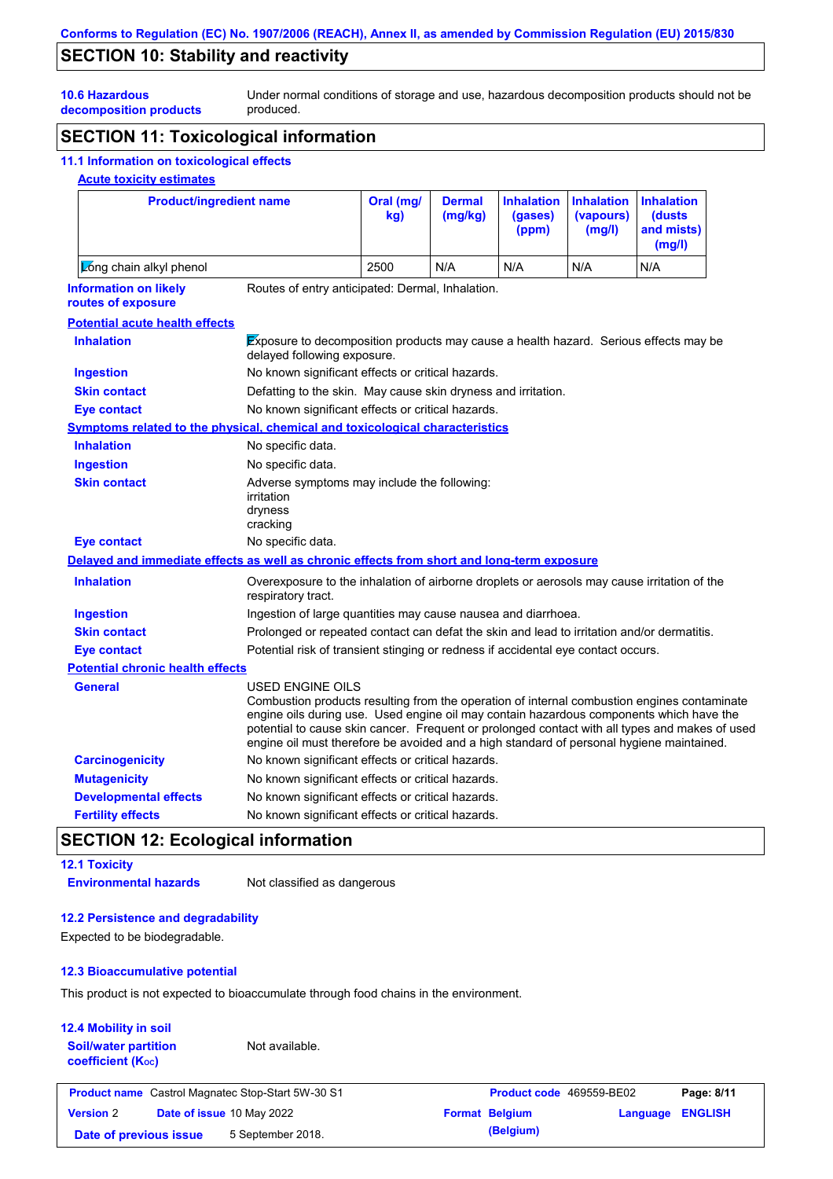## **SECTION 10: Stability and reactivity**

Under normal conditions of storage and use, hazardous decomposition products should not be produced.

**10.6 Hazardous decomposition products**

### **SECTION 11: Toxicological information**

#### **11.1 Information on toxicological effects**

#### **Acute toxicity estimates**

| <b>Product/ingredient name</b>                                                             |                                                                                                              | Oral (mg/<br>kg)                                                                                                    | <b>Dermal</b><br>(mg/kg) | <b>Inhalation</b><br>(gases)<br>(ppm) | <b>Inhalation</b><br>(vapours)<br>(mg/l) | <b>Inhalation</b><br>(dusts<br>and mists)<br>(mg/l)                                                                                                                                                                                                                                      |
|--------------------------------------------------------------------------------------------|--------------------------------------------------------------------------------------------------------------|---------------------------------------------------------------------------------------------------------------------|--------------------------|---------------------------------------|------------------------------------------|------------------------------------------------------------------------------------------------------------------------------------------------------------------------------------------------------------------------------------------------------------------------------------------|
| Long chain alkyl phenol                                                                    |                                                                                                              | 2500                                                                                                                | N/A                      | N/A                                   | N/A                                      | N/A                                                                                                                                                                                                                                                                                      |
| <b>Information on likely</b><br>routes of exposure                                         | Routes of entry anticipated: Dermal, Inhalation.                                                             |                                                                                                                     |                          |                                       |                                          |                                                                                                                                                                                                                                                                                          |
| <b>Potential acute health effects</b>                                                      |                                                                                                              |                                                                                                                     |                          |                                       |                                          |                                                                                                                                                                                                                                                                                          |
| <b>Inhalation</b>                                                                          |                                                                                                              | Exposure to decomposition products may cause a health hazard. Serious effects may be<br>delayed following exposure. |                          |                                       |                                          |                                                                                                                                                                                                                                                                                          |
| <b>Ingestion</b>                                                                           | No known significant effects or critical hazards.                                                            |                                                                                                                     |                          |                                       |                                          |                                                                                                                                                                                                                                                                                          |
| <b>Skin contact</b>                                                                        | Defatting to the skin. May cause skin dryness and irritation.                                                |                                                                                                                     |                          |                                       |                                          |                                                                                                                                                                                                                                                                                          |
| <b>Eye contact</b>                                                                         | No known significant effects or critical hazards.                                                            |                                                                                                                     |                          |                                       |                                          |                                                                                                                                                                                                                                                                                          |
| <b>Symptoms related to the physical, chemical and toxicological characteristics</b>        |                                                                                                              |                                                                                                                     |                          |                                       |                                          |                                                                                                                                                                                                                                                                                          |
| <b>Inhalation</b>                                                                          | No specific data.                                                                                            |                                                                                                                     |                          |                                       |                                          |                                                                                                                                                                                                                                                                                          |
| <b>Ingestion</b>                                                                           | No specific data.                                                                                            |                                                                                                                     |                          |                                       |                                          |                                                                                                                                                                                                                                                                                          |
| <b>Skin contact</b>                                                                        | Adverse symptoms may include the following:<br>irritation<br>dryness<br>cracking                             |                                                                                                                     |                          |                                       |                                          |                                                                                                                                                                                                                                                                                          |
| <b>Eye contact</b>                                                                         | No specific data.                                                                                            |                                                                                                                     |                          |                                       |                                          |                                                                                                                                                                                                                                                                                          |
| Delayed and immediate effects as well as chronic effects from short and long-term exposure |                                                                                                              |                                                                                                                     |                          |                                       |                                          |                                                                                                                                                                                                                                                                                          |
| <b>Inhalation</b>                                                                          | respiratory tract.                                                                                           | Overexposure to the inhalation of airborne droplets or aerosols may cause irritation of the                         |                          |                                       |                                          |                                                                                                                                                                                                                                                                                          |
| <b>Ingestion</b>                                                                           | Ingestion of large quantities may cause nausea and diarrhoea.                                                |                                                                                                                     |                          |                                       |                                          |                                                                                                                                                                                                                                                                                          |
| <b>Skin contact</b>                                                                        | Prolonged or repeated contact can defat the skin and lead to irritation and/or dermatitis.                   |                                                                                                                     |                          |                                       |                                          |                                                                                                                                                                                                                                                                                          |
| <b>Eye contact</b>                                                                         | Potential risk of transient stinging or redness if accidental eye contact occurs.                            |                                                                                                                     |                          |                                       |                                          |                                                                                                                                                                                                                                                                                          |
| <b>Potential chronic health effects</b>                                                    |                                                                                                              |                                                                                                                     |                          |                                       |                                          |                                                                                                                                                                                                                                                                                          |
| <b>General</b>                                                                             | USED ENGINE OILS<br>engine oil must therefore be avoided and a high standard of personal hygiene maintained. |                                                                                                                     |                          |                                       |                                          | Combustion products resulting from the operation of internal combustion engines contaminate<br>engine oils during use. Used engine oil may contain hazardous components which have the<br>potential to cause skin cancer. Frequent or prolonged contact with all types and makes of used |
| <b>Carcinogenicity</b>                                                                     | No known significant effects or critical hazards.                                                            |                                                                                                                     |                          |                                       |                                          |                                                                                                                                                                                                                                                                                          |
| <b>Mutagenicity</b>                                                                        | No known significant effects or critical hazards.                                                            |                                                                                                                     |                          |                                       |                                          |                                                                                                                                                                                                                                                                                          |
| <b>Developmental effects</b>                                                               | No known significant effects or critical hazards.                                                            |                                                                                                                     |                          |                                       |                                          |                                                                                                                                                                                                                                                                                          |
| <b>Fertility effects</b>                                                                   | No known significant effects or critical hazards.                                                            |                                                                                                                     |                          |                                       |                                          |                                                                                                                                                                                                                                                                                          |

# **SECTION 12: Ecological information**

### **12.1 Toxicity**

**Environmental hazards** Not classified as dangerous

#### **12.2 Persistence and degradability**

Expected to be biodegradable.

### **12.3 Bioaccumulative potential**

This product is not expected to bioaccumulate through food chains in the environment.

| <b>12.4 Mobility in soil</b><br><b>Soil/water partition</b><br><b>coefficient (Koc)</b> | Not available.                                           |                       |                          |                |
|-----------------------------------------------------------------------------------------|----------------------------------------------------------|-----------------------|--------------------------|----------------|
|                                                                                         | <b>Product name</b> Castrol Magnatec Stop-Start 5W-30 S1 |                       | Product code 469559-BE02 | Page: 8/11     |
| <b>Version 2</b>                                                                        | Date of issue 10 May 2022                                | <b>Format Belgium</b> | Language                 | <b>ENGLISH</b> |
| Date of previous issue                                                                  | 5 September 2018.                                        | (Belgium)             |                          |                |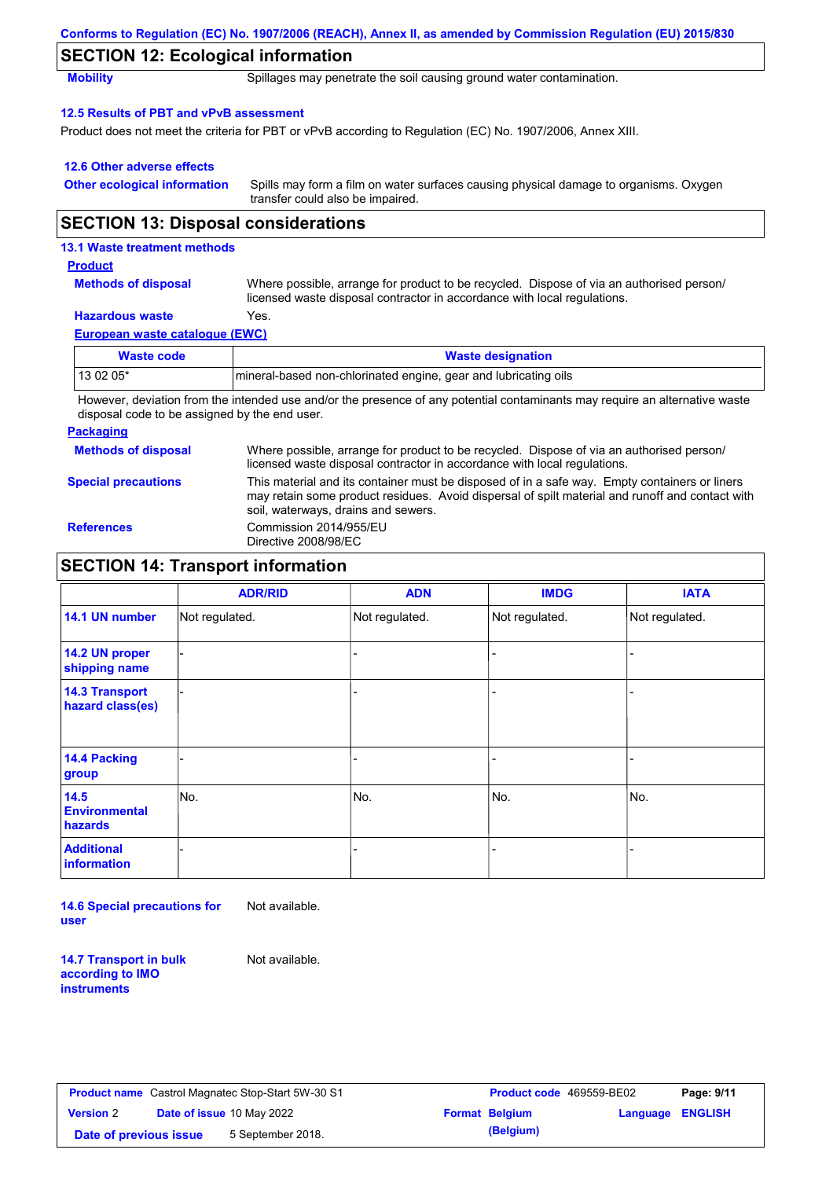|                                               | Conforms to Regulation (EC) No. 1907/2006 (REACH), Annex II, as amended by Commission Regulation (EU) 2015/830                                                                                                                          |
|-----------------------------------------------|-----------------------------------------------------------------------------------------------------------------------------------------------------------------------------------------------------------------------------------------|
| <b>SECTION 12: Ecological information</b>     |                                                                                                                                                                                                                                         |
| <b>Mobility</b>                               | Spillages may penetrate the soil causing ground water contamination.                                                                                                                                                                    |
| 12.5 Results of PBT and vPvB assessment       |                                                                                                                                                                                                                                         |
|                                               | Product does not meet the criteria for PBT or vPvB according to Regulation (EC) No. 1907/2006, Annex XIII.                                                                                                                              |
| 12.6 Other adverse effects                    |                                                                                                                                                                                                                                         |
| <b>Other ecological information</b>           | Spills may form a film on water surfaces causing physical damage to organisms. Oxygen<br>transfer could also be impaired.                                                                                                               |
| <b>SECTION 13: Disposal considerations</b>    |                                                                                                                                                                                                                                         |
| 13.1 Waste treatment methods                  |                                                                                                                                                                                                                                         |
| <b>Product</b>                                |                                                                                                                                                                                                                                         |
| <b>Methods of disposal</b>                    | Where possible, arrange for product to be recycled. Dispose of via an authorised person/<br>licensed waste disposal contractor in accordance with local regulations.                                                                    |
| <b>Hazardous waste</b>                        | Yes.                                                                                                                                                                                                                                    |
| European waste catalogue (EWC)                |                                                                                                                                                                                                                                         |
| <b>Waste code</b>                             | <b>Waste designation</b>                                                                                                                                                                                                                |
| 13 02 05*                                     | mineral-based non-chlorinated engine, gear and lubricating oils                                                                                                                                                                         |
| disposal code to be assigned by the end user. | However, deviation from the intended use and/or the presence of any potential contaminants may require an alternative waste                                                                                                             |
| <b>Packaging</b>                              |                                                                                                                                                                                                                                         |
| <b>Methods of disposal</b>                    | Where possible, arrange for product to be recycled. Dispose of via an authorised person/<br>licensed waste disposal contractor in accordance with local regulations.                                                                    |
| <b>Special precautions</b>                    | This material and its container must be disposed of in a safe way. Empty containers or liners<br>may retain some product residues. Avoid dispersal of spilt material and runoff and contact with<br>soil, waterways, drains and sewers. |
| <b>References</b>                             | Commission 2014/955/EU<br>Directive 2008/98/EC                                                                                                                                                                                          |

# **SECTION 14: Transport information**

|                                           | <b>ADR/RID</b> | <b>ADN</b>     | <b>IMDG</b>              | <b>IATA</b>    |
|-------------------------------------------|----------------|----------------|--------------------------|----------------|
| 14.1 UN number                            | Not regulated. | Not regulated. | Not regulated.           | Not regulated. |
| 14.2 UN proper<br>shipping name           |                |                |                          |                |
| <b>14.3 Transport</b><br>hazard class(es) |                |                |                          |                |
| 14.4 Packing<br>group                     |                |                |                          |                |
| 14.5<br><b>Environmental</b><br>hazards   | No.            | No.            | No.                      | No.            |
| <b>Additional</b><br>information          |                |                | $\overline{\phantom{0}}$ |                |

**14.6 Special precautions for user** Not available.

**14.7 Transport in bulk according to IMO instruments**

Not available.

| <b>Product name</b> Castrol Magnatec Stop-Start 5W-30 S1 |                           | Product code 469559-BE02 |                       | Page: 9/11              |  |
|----------------------------------------------------------|---------------------------|--------------------------|-----------------------|-------------------------|--|
| <b>Version 2</b>                                         | Date of issue 10 May 2022 |                          | <b>Format Belgium</b> | <b>Language ENGLISH</b> |  |
| Date of previous issue                                   |                           | 5 September 2018.        | (Belgium)             |                         |  |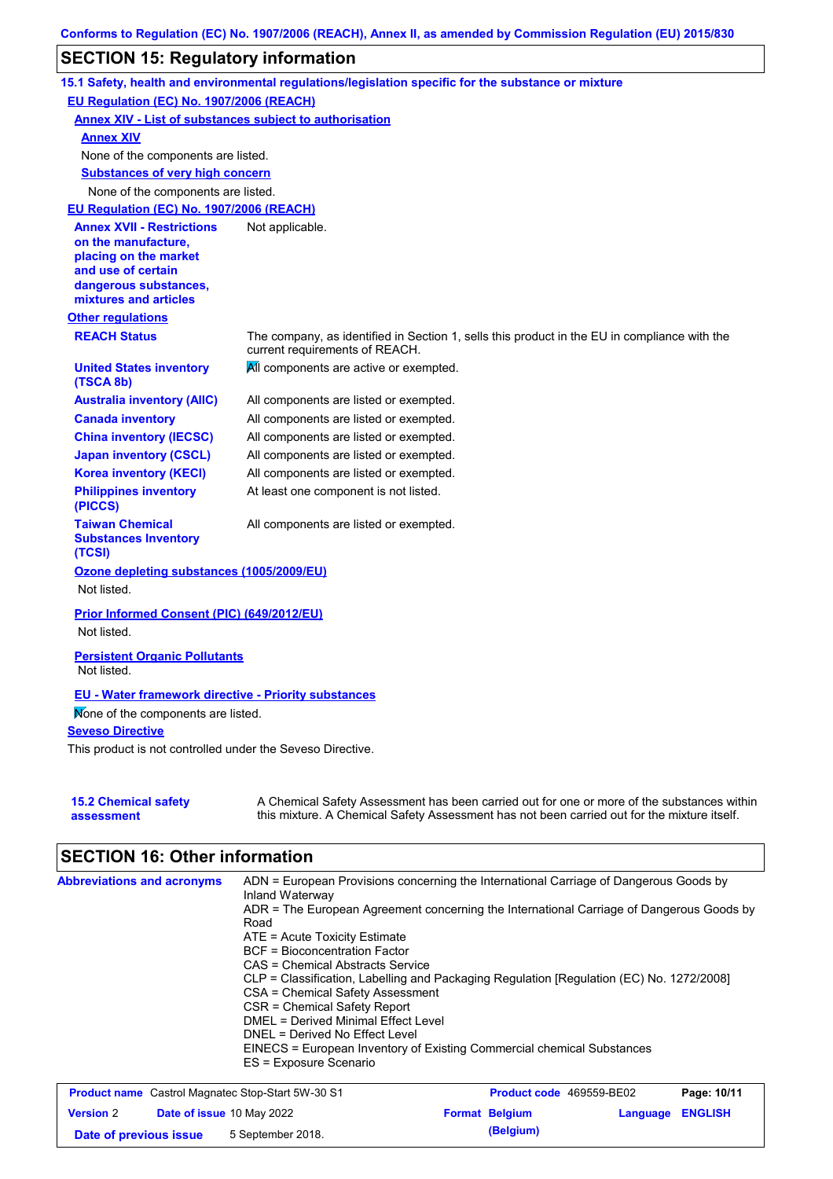## **SECTION 15: Regulatory information**

| EU Regulation (EC) No. 1907/2006 (REACH)<br><b>Annex XIV - List of substances subject to authorisation</b><br><b>Annex XIV</b><br>None of the components are listed.<br><b>Substances of very high concern</b><br>None of the components are listed.<br>EU Regulation (EC) No. 1907/2006 (REACH)<br><b>Annex XVII - Restrictions</b><br>Not applicable.<br>on the manufacture,<br>placing on the market<br>and use of certain<br>dangerous substances,<br>mixtures and articles<br><b>Other regulations</b><br><b>REACH Status</b><br>The company, as identified in Section 1, sells this product in the EU in compliance with the<br>current requirements of REACH.<br>All components are active or exempted.<br><b>United States inventory</b><br>(TSCA 8b)<br><b>Australia inventory (AIIC)</b><br>All components are listed or exempted.<br><b>Canada inventory</b><br>All components are listed or exempted.<br><b>China inventory (IECSC)</b><br>All components are listed or exempted.<br>All components are listed or exempted.<br><b>Japan inventory (CSCL)</b><br><b>Korea inventory (KECI)</b><br>All components are listed or exempted.<br><b>Philippines inventory</b><br>At least one component is not listed.<br>(PICCS)<br><b>Taiwan Chemical</b><br>All components are listed or exempted.<br><b>Substances Inventory</b><br>(TCSI)<br>Ozone depleting substances (1005/2009/EU)<br>Not listed.<br>Prior Informed Consent (PIC) (649/2012/EU)<br>Not listed.<br><b>Persistent Organic Pollutants</b><br>Not listed.<br><b>EU - Water framework directive - Priority substances</b> | 15.1 Safety, health and environmental regulations/legislation specific for the substance or mixture |
|-----------------------------------------------------------------------------------------------------------------------------------------------------------------------------------------------------------------------------------------------------------------------------------------------------------------------------------------------------------------------------------------------------------------------------------------------------------------------------------------------------------------------------------------------------------------------------------------------------------------------------------------------------------------------------------------------------------------------------------------------------------------------------------------------------------------------------------------------------------------------------------------------------------------------------------------------------------------------------------------------------------------------------------------------------------------------------------------------------------------------------------------------------------------------------------------------------------------------------------------------------------------------------------------------------------------------------------------------------------------------------------------------------------------------------------------------------------------------------------------------------------------------------------------------------------------------------------------------------|-----------------------------------------------------------------------------------------------------|
|                                                                                                                                                                                                                                                                                                                                                                                                                                                                                                                                                                                                                                                                                                                                                                                                                                                                                                                                                                                                                                                                                                                                                                                                                                                                                                                                                                                                                                                                                                                                                                                                     |                                                                                                     |
|                                                                                                                                                                                                                                                                                                                                                                                                                                                                                                                                                                                                                                                                                                                                                                                                                                                                                                                                                                                                                                                                                                                                                                                                                                                                                                                                                                                                                                                                                                                                                                                                     |                                                                                                     |
|                                                                                                                                                                                                                                                                                                                                                                                                                                                                                                                                                                                                                                                                                                                                                                                                                                                                                                                                                                                                                                                                                                                                                                                                                                                                                                                                                                                                                                                                                                                                                                                                     |                                                                                                     |
|                                                                                                                                                                                                                                                                                                                                                                                                                                                                                                                                                                                                                                                                                                                                                                                                                                                                                                                                                                                                                                                                                                                                                                                                                                                                                                                                                                                                                                                                                                                                                                                                     |                                                                                                     |
|                                                                                                                                                                                                                                                                                                                                                                                                                                                                                                                                                                                                                                                                                                                                                                                                                                                                                                                                                                                                                                                                                                                                                                                                                                                                                                                                                                                                                                                                                                                                                                                                     |                                                                                                     |
|                                                                                                                                                                                                                                                                                                                                                                                                                                                                                                                                                                                                                                                                                                                                                                                                                                                                                                                                                                                                                                                                                                                                                                                                                                                                                                                                                                                                                                                                                                                                                                                                     |                                                                                                     |
|                                                                                                                                                                                                                                                                                                                                                                                                                                                                                                                                                                                                                                                                                                                                                                                                                                                                                                                                                                                                                                                                                                                                                                                                                                                                                                                                                                                                                                                                                                                                                                                                     |                                                                                                     |
|                                                                                                                                                                                                                                                                                                                                                                                                                                                                                                                                                                                                                                                                                                                                                                                                                                                                                                                                                                                                                                                                                                                                                                                                                                                                                                                                                                                                                                                                                                                                                                                                     |                                                                                                     |
|                                                                                                                                                                                                                                                                                                                                                                                                                                                                                                                                                                                                                                                                                                                                                                                                                                                                                                                                                                                                                                                                                                                                                                                                                                                                                                                                                                                                                                                                                                                                                                                                     |                                                                                                     |
|                                                                                                                                                                                                                                                                                                                                                                                                                                                                                                                                                                                                                                                                                                                                                                                                                                                                                                                                                                                                                                                                                                                                                                                                                                                                                                                                                                                                                                                                                                                                                                                                     |                                                                                                     |
|                                                                                                                                                                                                                                                                                                                                                                                                                                                                                                                                                                                                                                                                                                                                                                                                                                                                                                                                                                                                                                                                                                                                                                                                                                                                                                                                                                                                                                                                                                                                                                                                     |                                                                                                     |
|                                                                                                                                                                                                                                                                                                                                                                                                                                                                                                                                                                                                                                                                                                                                                                                                                                                                                                                                                                                                                                                                                                                                                                                                                                                                                                                                                                                                                                                                                                                                                                                                     |                                                                                                     |
|                                                                                                                                                                                                                                                                                                                                                                                                                                                                                                                                                                                                                                                                                                                                                                                                                                                                                                                                                                                                                                                                                                                                                                                                                                                                                                                                                                                                                                                                                                                                                                                                     |                                                                                                     |
|                                                                                                                                                                                                                                                                                                                                                                                                                                                                                                                                                                                                                                                                                                                                                                                                                                                                                                                                                                                                                                                                                                                                                                                                                                                                                                                                                                                                                                                                                                                                                                                                     |                                                                                                     |
|                                                                                                                                                                                                                                                                                                                                                                                                                                                                                                                                                                                                                                                                                                                                                                                                                                                                                                                                                                                                                                                                                                                                                                                                                                                                                                                                                                                                                                                                                                                                                                                                     |                                                                                                     |
|                                                                                                                                                                                                                                                                                                                                                                                                                                                                                                                                                                                                                                                                                                                                                                                                                                                                                                                                                                                                                                                                                                                                                                                                                                                                                                                                                                                                                                                                                                                                                                                                     |                                                                                                     |
|                                                                                                                                                                                                                                                                                                                                                                                                                                                                                                                                                                                                                                                                                                                                                                                                                                                                                                                                                                                                                                                                                                                                                                                                                                                                                                                                                                                                                                                                                                                                                                                                     |                                                                                                     |
|                                                                                                                                                                                                                                                                                                                                                                                                                                                                                                                                                                                                                                                                                                                                                                                                                                                                                                                                                                                                                                                                                                                                                                                                                                                                                                                                                                                                                                                                                                                                                                                                     |                                                                                                     |
|                                                                                                                                                                                                                                                                                                                                                                                                                                                                                                                                                                                                                                                                                                                                                                                                                                                                                                                                                                                                                                                                                                                                                                                                                                                                                                                                                                                                                                                                                                                                                                                                     |                                                                                                     |
|                                                                                                                                                                                                                                                                                                                                                                                                                                                                                                                                                                                                                                                                                                                                                                                                                                                                                                                                                                                                                                                                                                                                                                                                                                                                                                                                                                                                                                                                                                                                                                                                     |                                                                                                     |
|                                                                                                                                                                                                                                                                                                                                                                                                                                                                                                                                                                                                                                                                                                                                                                                                                                                                                                                                                                                                                                                                                                                                                                                                                                                                                                                                                                                                                                                                                                                                                                                                     |                                                                                                     |
|                                                                                                                                                                                                                                                                                                                                                                                                                                                                                                                                                                                                                                                                                                                                                                                                                                                                                                                                                                                                                                                                                                                                                                                                                                                                                                                                                                                                                                                                                                                                                                                                     |                                                                                                     |
|                                                                                                                                                                                                                                                                                                                                                                                                                                                                                                                                                                                                                                                                                                                                                                                                                                                                                                                                                                                                                                                                                                                                                                                                                                                                                                                                                                                                                                                                                                                                                                                                     |                                                                                                     |
|                                                                                                                                                                                                                                                                                                                                                                                                                                                                                                                                                                                                                                                                                                                                                                                                                                                                                                                                                                                                                                                                                                                                                                                                                                                                                                                                                                                                                                                                                                                                                                                                     |                                                                                                     |
| Mone of the components are listed.                                                                                                                                                                                                                                                                                                                                                                                                                                                                                                                                                                                                                                                                                                                                                                                                                                                                                                                                                                                                                                                                                                                                                                                                                                                                                                                                                                                                                                                                                                                                                                  |                                                                                                     |
| <b>Seveso Directive</b>                                                                                                                                                                                                                                                                                                                                                                                                                                                                                                                                                                                                                                                                                                                                                                                                                                                                                                                                                                                                                                                                                                                                                                                                                                                                                                                                                                                                                                                                                                                                                                             |                                                                                                     |
| This product is not controlled under the Seveso Directive.                                                                                                                                                                                                                                                                                                                                                                                                                                                                                                                                                                                                                                                                                                                                                                                                                                                                                                                                                                                                                                                                                                                                                                                                                                                                                                                                                                                                                                                                                                                                          |                                                                                                     |
| A Chemical Safety Assessment has been carried out for one or more of the substances within<br><b>15.2 Chemical safety</b><br>this mixture. A Chemical Safety Assessment has not been carried out for the mixture itself.<br>assessment                                                                                                                                                                                                                                                                                                                                                                                                                                                                                                                                                                                                                                                                                                                                                                                                                                                                                                                                                                                                                                                                                                                                                                                                                                                                                                                                                              |                                                                                                     |

# **SECTION 16: Other information**

| ADN = European Provisions concerning the International Carriage of Dangerous Goods by<br>Inland Waterway |
|----------------------------------------------------------------------------------------------------------|
| ADR = The European Agreement concerning the International Carriage of Dangerous Goods by                 |
| Road                                                                                                     |
| $ATE = Acute Toxicity Estimate$                                                                          |
| <b>BCF</b> = Bioconcentration Factor                                                                     |
| CAS = Chemical Abstracts Service                                                                         |
| CLP = Classification, Labelling and Packaging Regulation [Regulation (EC) No. 1272/2008]                 |
| CSA = Chemical Safety Assessment                                                                         |
| CSR = Chemical Safety Report                                                                             |
| DMEL = Derived Minimal Effect Level                                                                      |
| DNEL = Derived No Effect Level                                                                           |
| EINECS = European Inventory of Existing Commercial chemical Substances                                   |
| ES = Exposure Scenario                                                                                   |
|                                                                                                          |

|                        | <b>Product name</b> Castrol Magnatec Stop-Start 5W-30 S1 | Product code 469559-BE02 |                         | Page: 10/11 |
|------------------------|----------------------------------------------------------|--------------------------|-------------------------|-------------|
| <b>Version</b> 2       | <b>Date of issue 10 May 2022</b>                         | <b>Format Belgium</b>    | <b>Language ENGLISH</b> |             |
| Date of previous issue | 5 September 2018.                                        | (Belgium)                |                         |             |